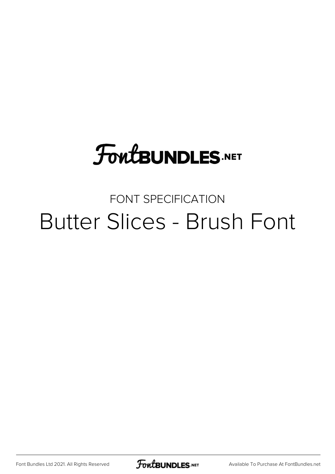# **FoutBUNDLES.NET**

### FONT SPECIFICATION Butter Slices - Brush Font

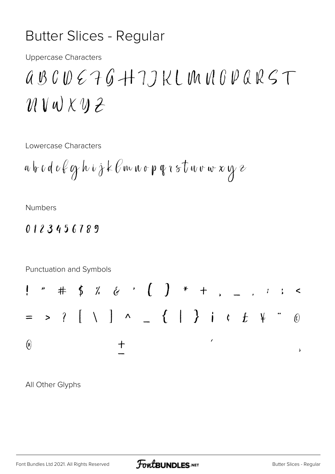### **Butter Slices - Regular**

**Uppercase Characters** 

## $ABCDC + G + 7J K L UNUDUR SC T$  $\mathcal{U} \vee \omega \times \mathcal{U} \neq$

Lowercase Characters

$$
a\,b\,c\,d\,e\,\ell\,\wp\,h\,\iota\,\dot\jmath\,k\,\ell\,\omega\,\nu\,\sigma\,\rho\,\,q\,\iota\,\circ\,\overline{t}\,w\,\nu\,\omega\,\,x\,\,y\,\,e
$$

**Numbers** 

#### 0123456789

Punctuation and Symbols

All Other Glyphs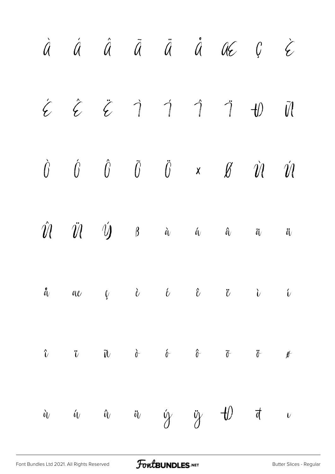